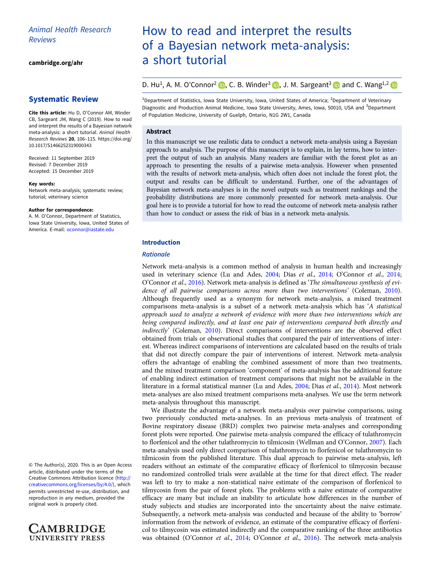# Animal Health Research Reviews

[cambridge.org/ahr](https://www.cambridge.org/ahr)

## Systematic Review

Cite this article: Hu D, O'Connor AM, Winder CB, Sargeant JM, Wang C (2019). How to read and interpret the results of a Bayesian network meta-analysis: a short tutorial. Animal Health Research Reviews 20, 106–115. [https://doi.org/](https://doi.org/10.1017/S1466252319000343) [10.1017/S1466252319000343](https://doi.org/10.1017/S1466252319000343)

Received: 11 September 2019 Revised: 7 December 2019 Accepted: 15 December 2019

#### Key words:

Network meta-analysis; systematic review; tutorial; veterinary science

#### Author for correspondence:

A. M. O'Connor, Department of Statistics, Iowa State University, Iowa, United States of America. E-mail: [oconnor@iastate.edu](mailto:oconnor@iastate.edu)

© The Author(s), 2020. This is an Open Access article, distributed under the terms of the Creative Commons Attribution licence ([http://](http://creativecommons.org/licenses/by/4.0/) [creativecommons.org/licenses/by/4.0/](http://creativecommons.org/licenses/by/4.0/)), which permits unrestricted re-use, distribution, and reproduction in any medium, provided the original work is properly cited.



# How to read and interpret the results of a Bayesian network meta-analysis: a short tutorial

D. Hu<sup>1</sup>[,](https://orcid.org/0000-0003-0604-7822) A. M. O'Connor<sup>2</sup>  $\bullet$ , C. B. Winder<sup>3</sup>  $\bullet$ , J. M. Sargeant<sup>3</sup>  $\bullet$  and C. Wang<sup>1,2</sup>  $\bullet$ 

<sup>1</sup>Department of Statistics, Iowa State University, Iowa, United States of America; <sup>2</sup>Department of Veterinary Diagnostic and Production Animal Medicine, Iowa State University, Ames, Iowa, 50010, USA and <sup>3</sup>Department of Population Medicine, University of Guelph, Ontario, N1G 2W1, Canada

## Abstract

In this manuscript we use realistic data to conduct a network meta-analysis using a Bayesian approach to analysis. The purpose of this manuscript is to explain, in lay terms, how to interpret the output of such an analysis. Many readers are familiar with the forest plot as an approach to presenting the results of a pairwise meta-analysis. However when presented with the results of network meta-analysis, which often does not include the forest plot, the output and results can be difficult to understand. Further, one of the advantages of Bayesian network meta-analyses is in the novel outputs such as treatment rankings and the probability distributions are more commonly presented for network meta-analysis. Our goal here is to provide a tutorial for how to read the outcome of network meta-analysis rather than how to conduct or assess the risk of bias in a network meta-analysis.

## Introduction

#### **Rationale**

Network meta-analysis is a common method of analysis in human health and increasingly used in veterinary science (Lu and Ades, [2004](#page-9-0); Dias et al., [2014](#page-9-0); O'Connor et al., [2014;](#page-9-0) O'Connor et al., [2016](#page-9-0)). Network meta-analysis is defined as 'The simultaneous synthesis of evidence of all pairwise comparisons across more than two interventions' (Coleman, [2010](#page-9-0)). Although frequently used as a synonym for network meta-analysis, a mixed treatment comparisons meta-analysis is a subset of a network meta-analysis which has 'A statistical approach used to analyze a network of evidence with more than two interventions which are being compared indirectly, and at least one pair of interventions compared both directly and indirectly' (Coleman, [2010](#page-9-0)). Direct comparisons of interventions are the observed effect obtained from trials or observational studies that compared the pair of interventions of interest. Whereas indirect comparisons of interventions are calculated based on the results of trials that did not directly compare the pair of interventions of interest. Network meta-analysis offers the advantage of enabling the combined assessment of more than two treatments, and the mixed treatment comparison 'component' of meta-analysis has the additional feature of enabling indirect estimation of treatment comparisons that might not be available in the literature in a formal statistical manner (Lu and Ades, [2004](#page-9-0); Dias et al., [2014\)](#page-9-0). Most network meta-analyses are also mixed treatment comparisons meta-analyses. We use the term network meta-analysis throughout this manuscript.

We illustrate the advantage of a network meta-analysis over pairwise comparisons, using two previously conducted meta-analyses. In an previous meta-analysis of treatment of Bovine respiratory disease (BRD) complex two pairwise meta-analyses and corresponding forest plots were reported. One pairwise meta-analysis compared the efficacy of tulathromycin to florfenicol and the other tulathromycin to tilmicosin (Wellman and O'Connor, [2007\)](#page-9-0). Each meta-analysis used only direct comparison of tulathromycin to florfenicol or tulathromycin to tilmicosin from the published literature. This dual approach to pairwise meta-analysis, left readers without an estimate of the comparative efficacy of florfenicol to tilmycosin because no randomized controlled trials were available at the time for that direct effect. The reader was left to try to make a non-statistical naive estimate of the comparison of florfenicol to tilmycosin from the pair of forest plots. The problems with a naive estimate of comparative efficacy are many but include an inability to articulate how differences in the number of study subjects and studies are incorporated into the uncertainty about the naive estimate. Subsequently, a network meta-analysis was conducted and because of the ability to 'borrow' information from the network of evidence, an estimate of the comparative efficacy of florfenicol to tilmycosin was estimated indirectly and the comparative ranking of the three antibiotics was obtained (O'Connor et al., [2014](#page-9-0); O'Connor et al., [2016](#page-9-0)). The network meta-analysis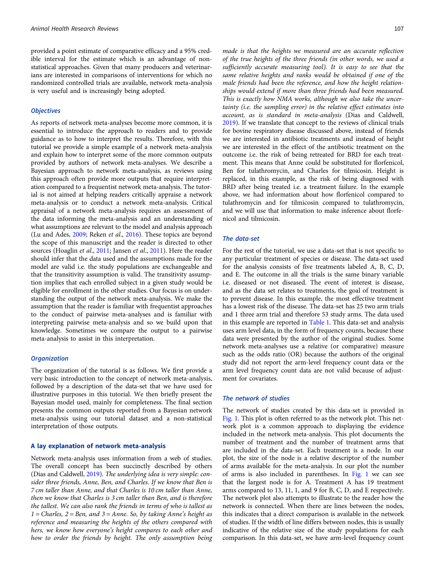provided a point estimate of comparative efficacy and a 95% credible interval for the estimate which is an advantage of nonstatistical approaches. Given that many producers and veterinarians are interested in comparisons of interventions for which no randomized controlled trials are available, network meta-analysis is very useful and is increasingly being adopted.

#### **Objectives**

As reports of network meta-analyses become more common, it is essential to introduce the approach to readers and to provide guidance as to how to interpret the results. Therefore, with this tutorial we provide a simple example of a network meta-analysis and explain how to interpret some of the more common outputs provided by authors of network meta-analyses. We describe a Bayesian approach to network meta-analysis, as reviews using this approach often provide more outputs that require interpretation compared to a frequentist network meta-analysis. The tutorial is not aimed at helping readers critically appraise a network meta-analysis or to conduct a network meta-analysis. Critical appraisal of a network meta-analysis requires an assessment of the data informing the meta-analysis and an understanding of what assumptions are relevant to the model and analysis approach (Lu and Ades, [2009](#page-9-0); Reken et al., [2016](#page-9-0)). These topics are beyond the scope of this manuscript and the reader is directed to other sources (Hoaglin et al., [2011;](#page-9-0) Jansen et al., [2011\)](#page-9-0). Here the reader should infer that the data used and the assumptions made for the model are valid i.e. the study populations are exchangeable and that the transitivity assumption is valid. The transitivity assumption implies that each enrolled subject in a given study would be eligible for enrollment in the other studies. Our focus is on understanding the output of the network meta-analysis. We make the assumption that the reader is familiar with frequentist approaches to the conduct of pairwise meta-analyses and is familiar with interpreting pairwise meta-analysis and so we build upon that knowledge. Sometimes we compare the output to a pairwise meta-analysis to assist in this interpretation.

#### **Organization**

The organization of the tutorial is as follows. We first provide a very basic introduction to the concept of network meta-analysis, followed by a description of the data-set that we have used for illustrative purposes in this tutorial. We then briefly present the Bayesian model used, mainly for completeness. The final section presents the common outputs reported from a Bayesian network meta-analysis using our tutorial dataset and a non-statistical interpretation of those outputs.

## A lay explanation of network meta-analysis

Network meta-analysis uses information from a web of studies. The overall concept has been succinctly described by others (Dias and Caldwell, [2019](#page-9-0)). The underlying idea is very simple: consider three friends, Anne, Ben, and Charles. If we know that Ben is 7 cm taller than Anne, and that Charles is 10 cm taller than Anne, then we know that Charles is 3 cm taller than Ben, and is therefore the tallest. We can also rank the friends in terms of who is tallest as  $1 =$  Charles,  $2 =$  Ben, and  $3 =$  Anne. So, by taking Anne's height as reference and measuring the heights of the others compared with hers, we know how everyone's height compares to each other and how to order the friends by height. The only assumption being made is that the heights we measured are an accurate reflection of the true heights of the three friends (in other words, we used a sufficiently accurate measuring tool). It is easy to see that the same relative heights and ranks would be obtained if one of the male friends had been the reference, and how the height relationships would extend if more than three friends had been measured. This is exactly how NMA works, although we also take the uncertainty (i.e. the sampling error) in the relative effect estimates into account, as is standard in meta-analysis (Dias and Caldwell, [2019](#page-9-0)). If we translate that concept to the reviews of clinical trials for bovine respiratory disease discussed above, instead of friends we are interested in antibiotic treatments and instead of height we are interested in the effect of the antibiotic treatment on the outcome i.e. the risk of being retreated for BRD for each treatment. This means that Anne could be substituted for florfenicol, Ben for tulathromycin, and Charles for tilmicosin. Height is replaced, in this example, as the risk of being diagnosed with BRD after being treated i.e. a treatment failure. In the example above, we had information about how florfenicol compared to tulathromycin and for tilmicosin compared to tulathromycin, and we will use that information to make inference about florfenicol and tilmicosin.

## The data-set

For the rest of the tutorial, we use a data-set that is not specific to any particular treatment of species or disease. The data-set used for the analysis consists of five treatments labeled A, B, C, D, and E. The outcome in all the trials is the same binary variable i.e. diseased or not diseased. The event of interest is disease, and as the data set relates to treatments, the goal of treatment is to prevent disease. In this example, the most effective treatment has a lowest risk of the disease. The data-set has 25 two arm trials and 1 three arm trial and therefore 53 study arms. The data used in this example are reported in [Table 1](#page-2-0). This data-set and analysis uses arm level data, in the form of frequency counts, because these data were presented by the author of the original studies. Some network meta-analyses use a relative (or comparative) measure such as the odds ratio (OR) because the authors of the original study did not report the arm-level frequency count data or the arm level frequency count data are not valid because of adjustment for covariates.

#### The network of studies

The network of studies created by this data-set is provided in [Fig. 1](#page-3-0). This plot is often referred to as the network plot. This network plot is a common approach to displaying the evidence included in the network meta-analysis. This plot documents the number of treatment and the number of treatment arms that are included in the data-set. Each treatment is a node. In our plot, the size of the node is a relative descriptor of the number of arms available for the meta-analysis. In our plot the number of arms is also included in parentheses. In [Fig. 1](#page-3-0) we can see that the largest node is for A. Treatment A has 19 treatment arms compared to 13, 11, 1, and 9 for B, C, D, and E respectively. The network plot also attempts to illustrate to the reader how the network is connected. When there are lines between the nodes, this indicates that a direct comparison is available in the network of studies. If the width of line differs between nodes, this is usually indicative of the relative size of the study populations for each comparison. In this data-set, we have arm-level frequency count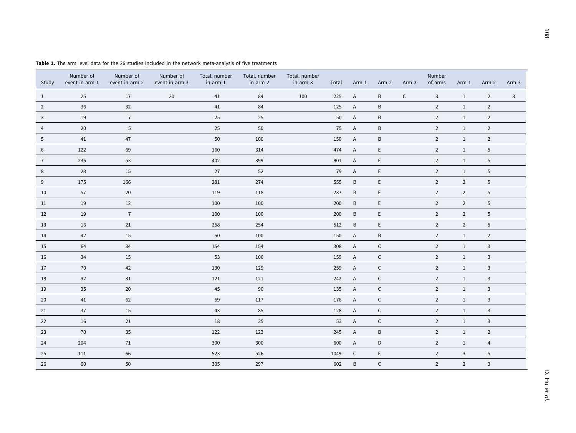| Study          | Number of<br>event in arm 1 | Number of<br>event in arm 2 | Number of<br>event in arm 3 | Total. number<br>in arm 1 | Total. number<br>in arm 2 | Total. number<br>in arm 3 | Total | Arm 1          | Arm 2        | Arm 3        | Number<br>of arms | Arm 1          | Arm 2          | Arm 3 |
|----------------|-----------------------------|-----------------------------|-----------------------------|---------------------------|---------------------------|---------------------------|-------|----------------|--------------|--------------|-------------------|----------------|----------------|-------|
| 1              | 25                          | 17                          | 20                          | 41                        | 84                        | 100                       | 225   | $\mathsf{A}$   | B            | $\mathsf{C}$ | $\mathbf{3}$      | $\mathbf{1}$   | $\overline{2}$ | 3     |
| $\overline{2}$ | 36                          | 32                          |                             | 41                        | 84                        |                           | 125   | $\overline{A}$ | B            |              | 2                 | $\mathbf{1}$   | $\overline{2}$ |       |
| $\mathbf{3}$   | 19                          | $\overline{7}$              |                             | 25                        | 25                        |                           | 50    | $\mathsf{A}$   | B            |              | $\overline{2}$    | $\mathbf{1}$   | $\overline{2}$ |       |
| $\overline{4}$ | 20                          | 5                           |                             | 25                        | 50                        |                           | 75    | A              | B            |              | $\overline{2}$    | $\mathbf{1}$   | $\overline{2}$ |       |
| 5              | 41                          | 47                          |                             | 50                        | 100                       |                           | 150   | $\mathsf{A}$   | B            |              | $\overline{2}$    | $\mathbf{1}$   | $\overline{2}$ |       |
| 6              | 122                         | 69                          |                             | 160                       | 314                       |                           | 474   | $\overline{A}$ | E            |              | $\overline{2}$    | $\mathbf{1}$   | 5              |       |
| $\overline{7}$ | 236                         | 53                          |                             | 402                       | 399                       |                           | 801   | A              | E            |              | $\overline{2}$    | $\mathbf{1}$   | 5              |       |
| 8              | 23                          | 15                          |                             | 27                        | 52                        |                           | 79    | A              | E            |              | $\overline{2}$    | $\mathbf{1}$   | 5              |       |
| 9              | 175                         | 166                         |                             | 281                       | 274                       |                           | 555   | B              | E            |              | $\overline{2}$    | $\overline{2}$ | 5              |       |
| 10             | 57                          | 20                          |                             | 119                       | 118                       |                           | 237   | B              | E            |              | $\overline{2}$    | $\overline{2}$ | 5              |       |
| 11             | 19                          | 12                          |                             | 100                       | 100                       |                           | 200   | B              | E            |              | $\overline{2}$    | $\overline{2}$ | 5              |       |
| 12             | 19                          | $\overline{7}$              |                             | 100                       | 100                       |                           | 200   | B              | E            |              | $\overline{2}$    | $\overline{2}$ | 5              |       |
| 13             | 16                          | 21                          |                             | 258                       | 254                       |                           | 512   | B              | $\mathsf E$  |              | $\overline{2}$    | $\overline{2}$ | 5              |       |
| 14             | 42                          | 15                          |                             | 50                        | 100                       |                           | 150   | $\mathsf{A}$   | B            |              | $\overline{2}$    | $\mathbf{1}$   | $\overline{2}$ |       |
| 15             | 64                          | 34                          |                             | 154                       | 154                       |                           | 308   | $\mathsf{A}$   | $\mathsf C$  |              | $\overline{2}$    | $\mathbf{1}$   | 3              |       |
| 16             | 34                          | 15                          |                             | 53                        | 106                       |                           | 159   | $\overline{A}$ | $\mathsf{C}$ |              | $\overline{2}$    | $\mathbf{1}$   | 3              |       |
| 17             | 70                          | 42                          |                             | 130                       | 129                       |                           | 259   | A              | $\mathsf{C}$ |              | $\overline{2}$    | $\mathbf{1}$   | $\mathbf{3}$   |       |
| 18             | 92                          | 31                          |                             | 121                       | 121                       |                           | 242   | $\mathsf{A}$   | $\mathsf C$  |              | $\overline{2}$    | $\mathbf{1}$   | $\mathbf{3}$   |       |
| 19             | 35                          | 20                          |                             | 45                        | 90                        |                           | 135   | $\overline{A}$ | $\mathsf{C}$ |              | $\overline{2}$    | $\mathbf{1}$   | $\overline{3}$ |       |
| 20             | 41                          | 62                          |                             | 59                        | 117                       |                           | 176   | $\mathsf{A}$   | $\mathsf C$  |              | $\overline{2}$    | $\mathbf{1}$   | 3              |       |
| 21             | 37                          | 15                          |                             | 43                        | 85                        |                           | 128   | $\mathsf{A}$   | $\mathsf C$  |              | $\overline{2}$    | $\mathbf{1}$   | 3              |       |
| 22             | 16                          | 21                          |                             | 18                        | 35                        |                           | 53    | $\overline{A}$ | $\mathsf C$  |              | $\overline{2}$    | $\mathbf{1}$   | $\mathsf{3}$   |       |
| 23             | 70                          | 35                          |                             | 122                       | 123                       |                           | 245   | $\mathsf{A}$   | B            |              | $\overline{2}$    | $\mathbf{1}$   | $\overline{2}$ |       |
| 24             | 204                         | 71                          |                             | 300                       | 300                       |                           | 600   | A              | D            |              | $\overline{2}$    | $\mathbf{1}$   | 4              |       |
| 25             | 111                         | 66                          |                             | 523                       | 526                       |                           | 1049  | $\mathsf{C}$   | E            |              | $\overline{2}$    | 3              | 5              |       |
| 26             | 60                          | 50                          |                             | 305                       | 297                       |                           | 602   | B              | $\mathsf{C}$ |              | $\overline{2}$    | $\overline{2}$ | 3              |       |

<span id="page-2-0"></span>Table 1. The arm level data for the 26 studies included in the network meta-analysis of five treatments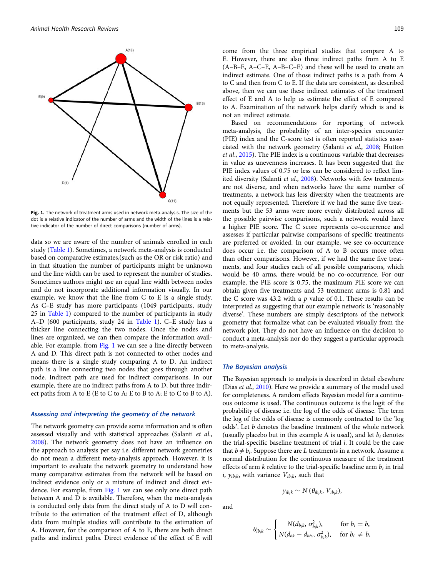<span id="page-3-0"></span>

Fig. 1. The network of treatment arms used in network meta-analysis. The size of the dot is a relative indicator of the number of arms and the width of the lines is a relative indicator of the number of direct comparisons (number of arms).

data so we are aware of the number of animals enrolled in each study ([Table 1](#page-2-0)). Sometimes, a network meta-analysis is conducted based on comparative estimates,(such as the OR or risk ratio) and in that situation the number of participants might be unknown and the line width can be used to represent the number of studies. Sometimes authors might use an equal line width between nodes and do not incorporate additional information visually. In our example, we know that the line from C to E is a single study. As C–E study has more participants (1049 participants, study 25 in [Table 1\)](#page-2-0) compared to the number of participants in study A–D (600 participants, study 24 in [Table 1](#page-2-0)). C–E study has a thicker line connecting the two nodes. Once the nodes and lines are organized, we can then compare the information available. For example, from Fig. 1 we can see a line directly between A and D. This direct path is not connected to other nodes and means there is a single study comparing A to D. An indirect path is a line connecting two nodes that goes through another node. Indirect path are used for indirect comparisons. In our example, there are no indirect paths from A to D, but three indirect paths from A to E (E to C to A; E to B to A; E to C to B to A).

#### Assessing and interpreting the geometry of the network

The network geometry can provide some information and is often assessed visually and with statistical approaches (Salanti et al., [2008\)](#page-9-0). The network geometry does not have an influence on the approach to analysis per say i.e. different network geometries do not mean a different meta-analysis approach. However, it is important to evaluate the network geometry to understand how many comparative estimates from the network will be based on indirect evidence only or a mixture of indirect and direct evidence. For example, from Fig. 1 we can see only one direct path between A and D is available. Therefore, when the meta-analysis is conducted only data from the direct study of A to D will contribute to the estimation of the treatment effect of D, although data from multiple studies will contribute to the estimation of A. However, for the comparison of A to E, there are both direct paths and indirect paths. Direct evidence of the effect of E will

come from the three empirical studies that compare A to E. However, there are also three indirect paths from A to E (A–B–E, A–C–E, A–B–C–E) and these will be used to create an indirect estimate. One of those indirect paths is a path from A to C and then from C to E. If the data are consistent, as described above, then we can use these indirect estimates of the treatment effect of E and A to help us estimate the effect of E compared to A. Examination of the network helps clarify which is and is not an indirect estimate.

Based on recommendations for reporting of network meta-analysis, the probability of an inter-species encounter (PIE) index and the C-score test is often reported statistics associated with the network geometry (Salanti et al., [2008;](#page-9-0) Hutton et al., [2015\)](#page-9-0). The PIE index is a continuous variable that decreases in value as unevenness increases. It has been suggested that the PIE index values of 0.75 or less can be considered to reflect lim-ited diversity (Salanti et al., [2008\)](#page-9-0). Networks with few treatments are not diverse, and when networks have the same number of treatments, a network has less diversity when the treatments are not equally represented. Therefore if we had the same five treatments but the 53 arms were more evenly distributed across all the possible pairwise comparisons, such a network would have a higher PIE score. The C score represents co-occurrence and assesses if particular pairwise comparisons of specific treatments are preferred or avoided. In our example, we see co-occurrence does occur i.e. the comparison of A to B occurs more often than other comparisons. However, if we had the same five treatments, and four studies each of all possible comparisons, which would be 40 arms, there would be no co-occurrence. For our example, the PIE score is 0.75, the maximum PIE score we can obtain given five treatments and 53 treatment arms is 0.81 and the C score was 43.2 with a  $p$  value of 0.1. These results can be interpreted as suggesting that our example network is 'reasonably diverse'. These numbers are simply descriptors of the network geometry that formalize what can be evaluated visually from the network plot. They do not have an influence on the decision to conduct a meta-analysis nor do they suggest a particular approach to meta-analysis.

## The Bayesian analysis

The Bayesian approach to analysis is described in detail elsewhere (Dias et al., [2010](#page-9-0)). Here we provide a summary of the model used for completeness. A random effects Bayesian model for a continuous outcome is used. The continuous outcome is the logit of the probability of disease i.e. the log of the odds of disease. The term the log of the odds of disease is commonly contracted to the 'log odds'. Let b denotes the baseline treatment of the whole network (usually placebo but in this example A is used), and let  $b_i$  denotes the trial-specific baseline treatment of trial i. It could be the case that  $b \neq b_i$ . Suppose there are L treatments in a network. Assume a normal distribution for the continuous measure of the treatment effects of arm  $k$  relative to the trial-specific baseline arm  $b_i$  in trial *i*,  $y_{ib,k}$ , with variance  $V_{ib,k}$ , such that

$$
y_{ib_ik} \sim N(\theta_{ib_ik}, V_{ib_ik}),
$$

and

$$
\theta_{ib_{i}k} \sim \begin{cases} N(d_{b_{i}k}, \sigma_{b_{i}k}^{2}), & \text{for } b_{i} = b, \\ N(d_{bk} - d_{bb_{i}}, \sigma_{b_{i}k}^{2}), & \text{for } b_{i} \neq b, \end{cases}
$$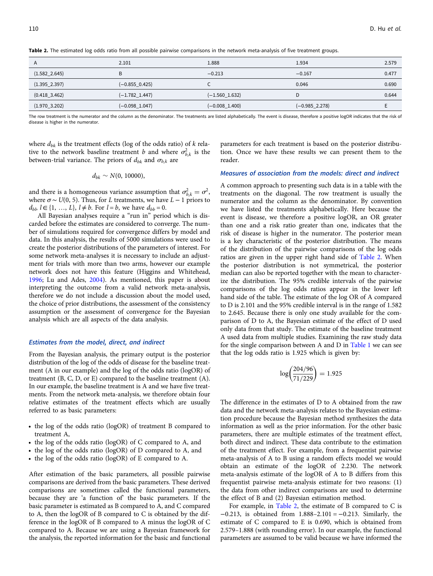<span id="page-4-0"></span>Table 2. The estimated log odds ratio from all possible pairwise comparisons in the network meta-analysis of five treatment groups.

| A                  | 2.101              | 1.888              | 1.934              | 2.579 |
|--------------------|--------------------|--------------------|--------------------|-------|
| $(1.582 \_ 2.645)$ | B                  | $-0.213$           | $-0.167$           | 0.477 |
| $(1.395 - 2.397)$  | (-0.855 0.425)     | ◡                  | 0.046              | 0.690 |
| $(0.418 - 3.462)$  | $(-1.782 - 1.447)$ | $(-1.560 1.632)$   | D                  | 0.644 |
| $(1.970 - 3.202)$  | $(-0.098, 1.047)$  | $(-0.008 - 1.400)$ | $(-0.985 - 2.278)$ |       |

The row treatment is the numerator and the column as the denominator. The treatments are listed alphabetically. The event is disease, therefore a positive logOR indicates that the risk of disease is higher in the numerator.

where  $d_{bk}$  is the treatment effects (log of the odds ratio) of k relative to the network baseline treatment b and where  $\sigma_{b,k}^2$  is the between-trial variance. The priors of  $d_{bk}$  and  $\sigma_{bik}$  are

parameters for each treatment is based on the posterior distribution. Once we have these results we can present them to the reader.

$$
d_{bk} \sim N(0, 10000),
$$

and there is a homogeneous variance assumption that  $\sigma_{b,k}^2 = \sigma^2$ , where  $\sigma \sim U(0, 5)$ . Thus, for L treatments, we have  $L - 1$  priors to  $d_{bb}$ ,  $l \in \{1, ..., L\}, l \neq b$ . For  $l = b$ , we have  $d_{bb} = 0$ .

All Bayesian analyses require a "run in" period which is discarded before the estimates are considered to converge. The number of simulations required for convergence differs by model and data. In this analysis, the results of 5000 simulations were used to create the posterior distributions of the parameters of interest. For some network meta-analyses it is necessary to include an adjustment for trials with more than two arms, however our example network does not have this feature (Higgins and Whitehead, [1996;](#page-9-0) Lu and Ades, [2004](#page-9-0)). As mentioned, this paper is about interpreting the outcome from a valid network meta-analysis, therefore we do not include a discussion about the model used, the choice of prior distributions, the assessment of the consistency assumption or the assessment of convergence for the Bayesian analysis which are all aspects of the data analysis.

#### Estimates from the model, direct, and indirect

From the Bayesian analysis, the primary output is the posterior distribution of the log of the odds of disease for the baseline treatment (A in our example) and the log of the odds ratio (logOR) of treatment (B, C, D, or E) compared to the baseline treatment (A). In our example, the baseline treatment is A and we have five treatments. From the network meta-analysis, we therefore obtain four relative estimates of the treatment effects which are usually referred to as basic parameters:

- the log of the odds ratio (logOR) of treatment B compared to treatment A,
- the log of the odds ratio (logOR) of C compared to A, and
- the log of the odds ratio (logOR) of D compared to A, and
- the log of the odds ratio (logOR) of E compared to A.

After estimation of the basic parameters, all possible pairwise comparisons are derived from the basic parameters. These derived comparisons are sometimes called the functional parameters, because they are 'a function of' the basic parameters. If the basic parameter is estimated as B compared to A, and C compared to A, then the logOR of B compared to C is obtained by the difference in the logOR of B compared to A minus the logOR of C compared to A. Because we are using a Bayesian framework for the analysis, the reported information for the basic and functional

#### Measures of association from the models: direct and indirect

A common approach to presenting such data is in a table with the treatments on the diagonal. The row treatment is usually the numerator and the column as the denominator. By convention we have listed the treatments alphabetically. Here because the event is disease, we therefore a positive logOR, an OR greater than one and a risk ratio greater than one, indicates that the risk of disease is higher in the numerator. The posterior mean is a key characteristic of the posterior distribution. The means of the distribution of the pairwise comparisons of the log odds ratios are given in the upper right hand side of Table 2. When the posterior distribution is not symmetrical, the posterior median can also be reported together with the mean to characterize the distribution. The 95% credible intervals of the pairwise comparisons of the log odds ratios appear in the lower left hand side of the table. The estimate of the log OR of A compared to D is 2.101 and the 95% credible interval is in the range of 1.582 to 2.645. Because there is only one study available for the comparison of D to A, the Bayesian estimate of the effect of D used only data from that study. The estimate of the baseline treatment A used data from multiple studies. Examining the raw study data for the single comparison between A and D in [Table 1](#page-2-0) we can see that the log odds ratio is 1.925 which is given by:

$$
\log\left(\frac{204/96}{71/229}\right) = 1.925
$$

The difference in the estimates of D to A obtained from the raw data and the network meta-analysis relates to the Bayesian estimation procedure because the Bayesian method synthesizes the data information as well as the prior information. For the other basic parameters, there are multiple estimates of the treatment effect, both direct and indirect. These data contribute to the estimation of the treatment effect. For example, from a frequentist pairwise meta-analysis of A to B using a random effects model we would obtain an estimate of the logOR of 2.230. The network meta-analysis estimate of the logOR of A to B differs from this frequentist pairwise meta-analysis estimate for two reasons: (1) the data from other indirect comparisons are used to determine the effect of B and (2) Bayesian estimation method.

For example, in Table 2, the estimate of B compared to C is −0.213, is obtained from 1.888–2.101 = −0.213. Similarly, the estimate of C compared to E is 0.690, which is obtained from 2.579–1.888 (with rounding error). In our example, the functional parameters are assumed to be valid because we have informed the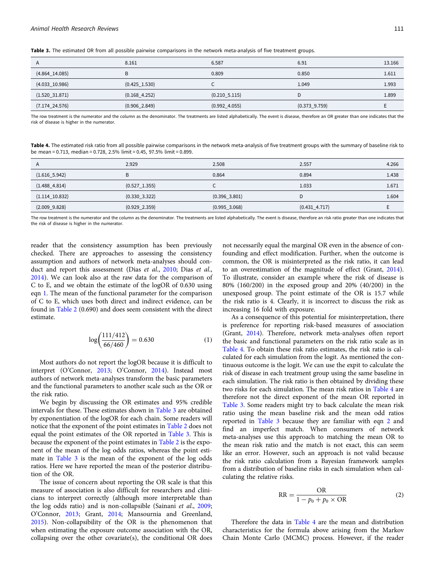<span id="page-5-0"></span>Table 3. The estimated OR from all possible pairwise comparisons in the network meta-analysis of five treatment groups.

| $\mathsf{A}$       | 8.161             | 6.587              | 6.91              | 13.166 |
|--------------------|-------------------|--------------------|-------------------|--------|
| $(4.864 \_14.085)$ |                   | 0.809              | 0.850             | 1.611  |
| $(4.033\_10.986)$  | $(0.425\_1.530)$  |                    | 1.049             | 1.993  |
| $(1.520\_31.871)$  | $(0.168 - 4.252)$ | $(0.210 - 5.115)$  |                   | 1.899  |
| $(7.174\_24.576)$  | $(0.906\_2.849)$  | $(0.992 \_ 4.055)$ | $(0.373 - 9.759)$ |        |

The row treatment is the numerator and the column as the denominator. The treatments are listed alphabetically. The event is disease, therefore an OR greater than one indicates that the risk of disease is higher in the numerator.

Table 4. The estimated risk ratio from all possible pairwise comparisons in the network meta-analysis of five treatment groups with the summary of baseline risk to be mean = 0.713, median = 0.728, 2.5% limit = 0.45, 97.5% limit = 0.899.

| A                 | 2.929             | 2.508             | 2.557            | 4.266 |
|-------------------|-------------------|-------------------|------------------|-------|
| $(1.616 - 5.942)$ |                   | 0.864             | 0.894            | 1.438 |
| $(1.488\_4.814)$  | $(0.527 - 1.355)$ |                   | 1.033            | 1.671 |
| $(1.114\_10.832)$ | $(0.330 - 3.322)$ | $(0.396 - 3.801)$ | D                | 1.604 |
| $(2.009 - 9.828)$ | $(0.929 - 2.359)$ | $(0.995 - 3.068)$ | $(0.431\_4.717)$ |       |

The row treatment is the numerator and the column as the denominator. The treatments are listed alphabetically. The event is disease, therefore an risk ratio greater than one indicates that the risk of disease is higher in the numerator.

reader that the consistency assumption has been previously checked. There are approaches to assessing the consistency assumption and authors of network meta-analyses should con-duct and report this assessment (Dias et al., [2010;](#page-9-0) Dias et al., [2014\)](#page-9-0). We can look also at the raw data for the comparison of C to E, and we obtain the estimate of the logOR of 0.630 using eqn 1. The mean of the functional parameter for the comparison of C to E, which uses both direct and indirect evidence, can be found in [Table 2](#page-4-0) (0.690) and does seem consistent with the direct estimate.

$$
\log\left(\frac{111/412}{66/460}\right) = 0.630\tag{1}
$$

Most authors do not report the logOR because it is difficult to interpret (O'Connor, [2013;](#page-9-0) O'Connor, [2014\)](#page-9-0). Instead most authors of network meta-analyses transform the basic parameters and the functional parameters to another scale such as the OR or the risk ratio.

We begin by discussing the OR estimates and 95% credible intervals for these. These estimates shown in Table 3 are obtained by exponentiation of the logOR for each chain. Some readers will notice that the exponent of the point estimates in [Table 2](#page-4-0) does not equal the point estimates of the OR reported in Table 3. This is because the exponent of the point estimates in [Table 2](#page-4-0) is the exponent of the mean of the log odds ratios, whereas the point estimate in Table 3 is the mean of the exponent of the log odds ratios. Here we have reported the mean of the posterior distribution of the OR.

The issue of concern about reporting the OR scale is that this measure of association is also difficult for researchers and clinicians to interpret correctly (although more interpretable than the log odds ratio) and is non-collapsible (Sainani et al., [2009;](#page-9-0) O'Connor, [2013](#page-9-0); Grant, [2014;](#page-9-0) Mansournia and Greenland, [2015\)](#page-9-0). Non-collapsibility of the OR is the phenomenon that when estimating the exposure outcome association with the OR, collapsing over the other covariate(s), the conditional OR does

not necessarily equal the marginal OR even in the absence of confounding and effect modification. Further, when the outcome is common, the OR is misinterpreted as the risk ratio, it can lead to an overestimation of the magnitude of effect (Grant, [2014](#page-9-0)). To illustrate, consider an example where the risk of disease is 80% (160/200) in the exposed group and 20% (40/200) in the unexposed group. The point estimate of the OR is 15.7 while the risk ratio is 4. Clearly, it is incorrect to discuss the risk as increasing 16 fold with exposure.

As a consequence of this potential for misinterpretation, there is preference for reporting risk-based measures of association (Grant, [2014](#page-9-0)). Therefore, network meta-analyses often report the basic and functional parameters on the risk ratio scale as in Table 4. To obtain these risk ratio estimates, the risk ratio is calculated for each simulation from the logit. As mentioned the continuous outcome is the logit. We can use the expit to calculate the risk of disease in each treatment group using the same baseline in each simulation. The risk ratio is then obtained by dividing these two risks for each simulation. The mean risk ratios in Table 4 are therefore not the direct exponent of the mean OR reported in Table 3. Some readers might try to back calculate the mean risk ratio using the mean baseline risk and the mean odd ratios reported in Table 3 because they are familiar with eqn 2 and find an imperfect match. When consumers of network meta-analyses use this approach to matching the mean OR to the mean risk ratio and the match is not exact, this can seem like an error. However, such an approach is not valid because the risk ratio calculation from a Bayesian framework samples from a distribution of baseline risks in each simulation when calculating the relative risks.

$$
RR = \frac{OR}{1 - p_0 + p_0 \times OR}
$$
 (2)

Therefore the data in Table 4 are the mean and distribution characteristics for the formula above arising from the Markov Chain Monte Carlo (MCMC) process. However, if the reader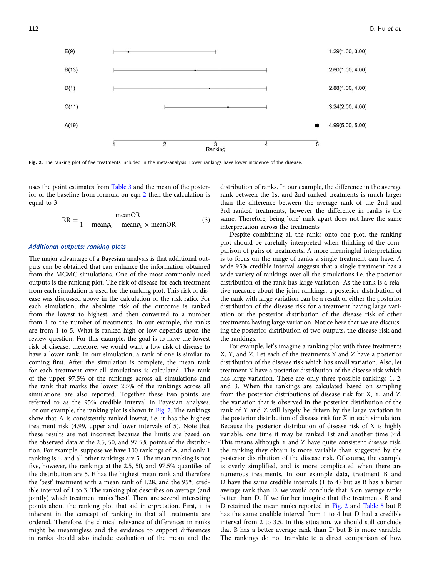

Fig. 2. The ranking plot of five treatments included in the meta-analysis. Lower rankings have lower incidence of the disease.

uses the point estimates from [Table 3](#page-5-0) and the mean of the posterior of the baseline from formula on eqn [2](#page-5-0) then the calculation is equal to 3

$$
RR = \frac{meanOR}{1 - meanp_0 + meanp_0 \times meanOR}
$$
 (3)

#### Additional outputs: ranking plots

The major advantage of a Bayesian analysis is that additional outputs can be obtained that can enhance the information obtained from the MCMC simulations. One of the most commonly used outputs is the ranking plot. The risk of disease for each treatment from each simulation is used for the ranking plot. This risk of disease was discussed above in the calculation of the risk ratio. For each simulation, the absolute risk of the outcome is ranked from the lowest to highest, and then converted to a number from 1 to the number of treatments. In our example, the ranks are from 1 to 5. What is ranked high or low depends upon the review question. For this example, the goal is to have the lowest risk of disease, therefore, we would want a low risk of disease to have a lower rank. In our simulation, a rank of one is similar to coming first. After the simulation is complete, the mean rank for each treatment over all simulations is calculated. The rank of the upper 97.5% of the rankings across all simulations and the rank that marks the lowest 2.5% of the rankings across all simulations are also reported. Together these two points are referred to as the 95% credible interval in Bayesian analyses. For our example, the ranking plot is shown in Fig. 2. The rankings show that A is consistently ranked lowest, i.e. it has the highest treatment risk (4.99, upper and lower intervals of 5). Note that these results are not incorrect because the limits are based on the observed data at the 2.5, 50, and 97.5% points of the distribution. For example, suppose we have 100 rankings of A, and only 1 ranking is 4, and all other rankings are 5. The mean ranking is not five, however, the rankings at the 2.5, 50, and 97.5% quantiles of the distribution are 5. E has the highest mean rank and therefore the 'best' treatment with a mean rank of 1.28, and the 95% credible interval of 1 to 3. The ranking plot describes on average (and jointly) which treatment ranks 'best'. There are several interesting points about the ranking plot that aid interpretation. First, it is inherent in the concept of ranking in that all treatments are ordered. Therefore, the clinical relevance of differences in ranks might be meaningless and the evidence to support differences in ranks should also include evaluation of the mean and the distribution of ranks. In our example, the difference in the average rank between the 1st and 2nd ranked treatments is much larger than the difference between the average rank of the 2nd and 3rd ranked treatments, however the difference in ranks is the same. Therefore, being 'one' rank apart does not have the same interpretation across the treatments

Despite combining all the ranks onto one plot, the ranking plot should be carefully interpreted when thinking of the comparison of pairs of treatments. A more meaningful interpretation is to focus on the range of ranks a single treatment can have. A wide 95% credible interval suggests that a single treatment has a wide variety of rankings over all the simulations i.e. the posterior distribution of the rank has large variation. As the rank is a relative measure about the joint rankings, a posterior distribution of the rank with large variation can be a result of either the posterior distribution of the disease risk for a treatment having large variation or the posterior distribution of the disease risk of other treatments having large variation. Notice here that we are discussing the posterior distribution of two outputs, the disease risk and the rankings.

For example, let's imagine a ranking plot with three treatments X, Y, and Z. Let each of the treatments Y and Z have a posterior distribution of the disease risk which has small variation. Also, let treatment X have a posterior distribution of the disease risk which has large variation. There are only three possible rankings 1, 2, and 3. When the rankings are calculated based on sampling from the posterior distributions of disease risk for X, Y, and Z, the variation that is observed in the posterior distribution of the rank of Y and Z will largely be driven by the large variation in the posterior distribution of disease risk for X in each simulation. Because the posterior distribution of disease risk of X is highly variable, one time it may be ranked 1st and another time 3rd. This means although Y and Z have quite consistent disease risk, the ranking they obtain is more variable than suggested by the posterior distribution of the disease risk. Of course, the example is overly simplified, and is more complicated when there are numerous treatments. In our example data, treatment B and D have the same credible intervals (1 to 4) but as B has a better average rank than D, we would conclude that B on average ranks better than D. If we further imagine that the treatments B and D retained the mean ranks reported in Fig. 2 and [Table 5](#page-7-0) but B has the same credible interval from 1 to 4 but D had a credible interval from 2 to 3.5. In this situation, we should still conclude that B has a better average rank than D but B is more variable. The rankings do not translate to a direct comparison of how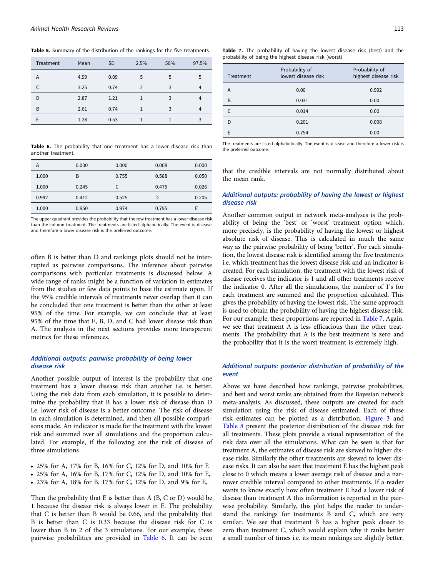<span id="page-7-0"></span>Table 5. Summary of the distribution of the rankings for the five treatments

| Treatment | Mean | <b>SD</b> | 2.5% | 50% | 97.5% |
|-----------|------|-----------|------|-----|-------|
| A         | 4.99 | 0.09      | 5    | 5   | 5     |
|           | 3.25 | 0.74      |      | 3   |       |
| D         | 2.87 | 1.21      |      | 3   |       |
| B         | 2.61 | 0.74      |      | 3   | 4     |
| F         | 1.28 | 0.53      |      |     | 3     |

**Table 6.** The probability that one treatment has a lower disease risk than another treatment.

| A     | 0.000 | 0.000 | 0.008 | 0.000 |
|-------|-------|-------|-------|-------|
| 1.000 | B     | 0.755 | 0.588 | 0.050 |
| 1.000 | 0.245 |       | 0.475 | 0.026 |
| 0.992 | 0.412 | 0.525 | D     | 0.205 |
| 1.000 | 0.950 | 0.974 | 0.795 | F     |

The upper quadrant provides the probability that the row treatment has a lower disease risk than the column treatment. The treatments are listed alphabetically. The event is disease and therefore a lower disease risk is the preferred outcome.

often B is better than D and rankings plots should not be interrupted as pairwise comparisons. The inference about pairwise comparisons with particular treatments is discussed below. A wide range of ranks might be a function of variation in estimates from the studies or few data points to base the estimate upon. If the 95% credible intervals of treatments never overlap then it can be concluded that one treatment is better than the other at least 95% of the time. For example, we can conclude that at least 95% of the time that E, B, D, and C had lower disease risk than A. The analysis in the next sections provides more transparent metrics for these inferences.

## Additional outputs: pairwise probability of being lower disease risk

Another possible output of interest is the probability that one treatment has a lower disease risk than another i.e. is better. Using the risk data from each simulation, it is possible to determine the probability that B has a lower risk of disease than D i.e. lower risk of disease is a better outcome. The risk of disease in each simulation is determined, and then all possible comparisons made. An indicator is made for the treatment with the lowest risk and summed over all simulations and the proportion calculated. For example, if the following are the risk of disease of three simulations

- 25% for A, 17% for B, 16% for C, 12% for D, and 10% for E
- 25% for A, 16% for B, 17% for C, 12% for D, and 10% for E,
- 23% for A, 18% for B, 17% for C, 12% for D, and 9% for E,

Then the probability that E is better than A (B, C or D) would be 1 because the disease risk is always lower in E. The probability that C is better than B would be 0.66, and the probability that B is better than C is 0.33 because the disease risk for C is lower than B in 2 of the 3 simulations. For our example, these pairwise probabilities are provided in Table 6. It can be seen

|  | <b>Table 7.</b> The probability of having the lowest disease risk (best) and the |  |  |  |  |  |
|--|----------------------------------------------------------------------------------|--|--|--|--|--|
|  | probability of being the highest disease risk (worst)                            |  |  |  |  |  |

| Probability of<br>lowest disease risk | Probability of<br>highest disease risk |
|---------------------------------------|----------------------------------------|
| 0.00                                  | 0.992                                  |
| 0.031                                 | 0.00                                   |
| 0.014                                 | 0.00                                   |
| 0.201                                 | 0.008                                  |
| 0.754                                 | 0.00                                   |
|                                       |                                        |

The treatments are listed alphabetically. The event is disease and therefore a lower risk is the preferred outcome.

that the credible intervals are not normally distributed about the mean rank.

## Additional outputs: probability of having the lowest or highest disease risk

Another common output in network meta-analyses is the probability of being the 'best' or 'worst' treatment option which, more precisely, is the probability of having the lowest or highest absolute risk of disease. This is calculated in much the same way as the pairwise probability of being 'better'. For each simulation, the lowest disease risk is identified among the five treatments i.e. which treatment has the lowest disease risk and an indicator is created. For each simulation, the treatment with the lowest risk of disease receives the indicator is 1 and all other treatments receive the indicator 0. After all the simulations, the number of 1's for each treatment are summed and the proportion calculated. This gives the probability of having the lowest risk. The same approach is used to obtain the probability of having the highest disease risk. For our example, these proportions are reported in Table 7. Again, we see that treatment A is less efficacious than the other treatments. The probability that A is the best treatment is zero and the probability that it is the worst treatment is extremely high.

## Additional outputs: posterior distribution of probability of the event

Above we have described how rankings, pairwise probabilities, and best and worst ranks are obtained from the Bayesian network meta-analysis. As discussed, these outputs are created for each simulation using the risk of disease estimated. Each of these risk estimates can be plotted as a distribution. [Figure 3](#page-8-0) and [Table 8](#page-8-0) present the posterior distribution of the disease risk for all treatments. These plots provide a visual representation of the risk data over all the simulations. What can be seen is that for treatment A, the estimates of disease risk are skewed to higher disease risks. Similarly the other treatments are skewed to lower disease risks. It can also be seen that treatment E has the highest peak close to 0 which means a lower average risk of disease and a narrower credible interval compared to other treatments. If a reader wants to know exactly how often treatment E had a lower risk of disease than treatment A this information is reported in the pairwise probability. Similarly, this plot helps the reader to understand the rankings for treatments B and C, which are very similar. We see that treatment B has a higher peak closer to zero than treatment C, which would explain why it ranks better a small number of times i.e. its mean rankings are slightly better.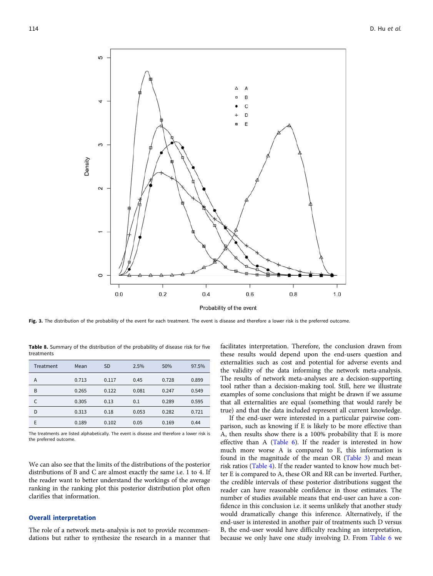<span id="page-8-0"></span>

Fig. 3. The distribution of the probability of the event for each treatment. The event is disease and therefore a lower risk is the preferred outcome.

Table 8. Summary of the distribution of the probability of disease risk for five treatments

| Treatment | Mean  | <b>SD</b> | 2.5%  | 50%   | 97.5% |
|-----------|-------|-----------|-------|-------|-------|
| A         | 0.713 | 0.117     | 0.45  | 0.728 | 0.899 |
| B         | 0.265 | 0.122     | 0.081 | 0.247 | 0.549 |
| C         | 0.305 | 0.13      | 0.1   | 0.289 | 0.595 |
| D         | 0.313 | 0.18      | 0.053 | 0.282 | 0.721 |
| E         | 0.189 | 0.102     | 0.05  | 0.169 | 0.44  |

The treatments are listed alphabetically. The event is disease and therefore a lower risk is the preferred outcome.

We can also see that the limits of the distributions of the posterior distributions of B and C are almost exactly the same i.e. 1 to 4. If the reader want to better understand the workings of the average ranking in the ranking plot this posterior distribution plot often clarifies that information.

#### Overall interpretation

The role of a network meta-analysis is not to provide recommendations but rather to synthesize the research in a manner that facilitates interpretation. Therefore, the conclusion drawn from these results would depend upon the end-users question and externalities such as cost and potential for adverse events and the validity of the data informing the network meta-analysis. The results of network meta-analyses are a decision-supporting tool rather than a decision-making tool. Still, here we illustrate examples of some conclusions that might be drawn if we assume that all externalities are equal (something that would rarely be true) and that the data included represent all current knowledge.

If the end-user were interested in a particular pairwise comparison, such as knowing if E is likely to be more effective than A, then results show there is a 100% probability that E is more effective than A ([Table 6\)](#page-7-0). If the reader is interested in how much more worse A is compared to E, this information is found in the magnitude of the mean OR [\(Table 3\)](#page-5-0) and mean risk ratios ([Table 4\)](#page-5-0). If the reader wanted to know how much better E is compared to A, these OR and RR can be inverted. Further, the credible intervals of these posterior distributions suggest the reader can have reasonable confidence in those estimates. The number of studies available means that end-user can have a confidence in this conclusion i.e. it seems unlikely that another study would dramatically change this inference. Alternatively, if the end-user is interested in another pair of treatments such D versus B, the end-user would have difficulty reaching an interpretation, because we only have one study involving D. From [Table 6](#page-7-0) we